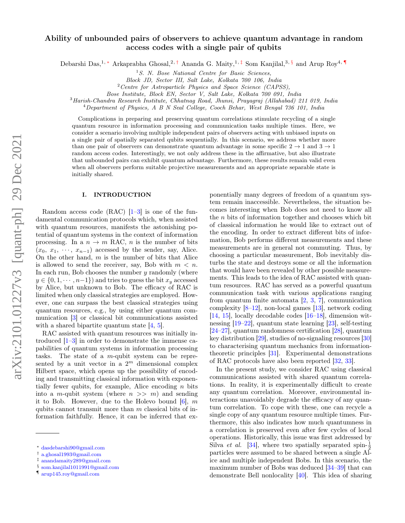# Ability of unbounded pairs of observers to achieve quantum advantage in random access codes with a single pair of qubits

Debarshi Das,<sup>1, \*</sup> Arkaprabha Ghosal,<sup>2,[†](#page-0-1)</sup> Ananda G. Maity,<sup>1,[‡](#page-0-2)</sup> Som Kanjilal,<sup>3, [§](#page-0-3)</sup> and Arup Roy<sup>4,</sup>

 $1S.$  N. Bose National Centre for Basic Sciences,

Block JD, Sector III, Salt Lake, Kolkata 700 106, India

<sup>2</sup>Centre for Astroparticle Physics and Space Science (CAPSS),

Bose Institute, Block EN, Sector V, Salt Lake, Kolkata 700 091, India

<sup>3</sup>Harish-Chandra Research Institute, Chhatnag Road, Jhunsi, Prayagraj (Allahabad) 211 019, India

<sup>4</sup>Department of Physics, A B N Seal College, Cooch Behar, West Bengal 736 101, India

Complications in preparing and preserving quantum correlations stimulate recycling of a single quantum resource in information processing and communication tasks multiple times. Here, we consider a scenario involving multiple independent pairs of observers acting with unbiased inputs on a single pair of spatially separated qubits sequentially. In this scenario, we address whether more than one pair of observers can demonstrate quantum advantage in some specific  $2 \rightarrow 1$  and  $3 \rightarrow 1$ random access codes. Interestingly, we not only address these in the affirmative, but also illustrate that unbounded pairs can exhibit quantum advantage. Furthermore, these results remain valid even when all observers perform suitable projective measurements and an appropriate separable state is initially shared.

### I. INTRODUCTION

Random access code  $(RAC)$  [\[1](#page-4-0)[–3\]](#page-5-0) is one of the fundamental communication protocols which, when assisted with quantum resources, manifests the astonishing potential of quantum systems in the context of information processing. In a  $n \to m$  RAC, n is the number of bits  $(x_0, x_1, \dots, x_{n-1})$  accessed by the sender, say, Alice. On the other hand,  $m$  is the number of bits that Alice is allowed to send the receiver, say, Bob with  $m < n$ . In each run, Bob chooses the number  $y$  randomly (where  $y \in \{0, 1, \dots, n-1\}$  and tries to guess the bit  $x_y$  accessed by Alice, but unknown to Bob. The efficacy of RAC is limited when only classical strategies are employed. However, one can surpass the best classical strategies using quantum resources, e.g., by using either quantum communication [\[3\]](#page-5-0) or classical bit communications assisted with a shared bipartite quantum state [\[4,](#page-5-1) [5\]](#page-5-2).

RAC assisted with quantum resources was initially introduced [\[1–](#page-4-0)[3\]](#page-5-0) in order to demonstrate the immense capabilities of quantum systems in information processing tasks. The state of a m-qubit system can be represented by a unit vector in a  $2^m$  dimensional complex Hilbert space, which opens up the possibility of encoding and transmitting classical information with exponentially fewer qubits, for example, Alice encoding  $n$  bits into a m-qubit system (where  $n \gg m$ ) and sending it to Bob. However, due to the Holevo bound  $[6]$ , m qubits cannot transmit more than  $m$  classical bits of information faithfully. Hence, it can be inferred that ex-

ponentially many degrees of freedom of a quantum system remain inaccessible. Nevertheless, the situation becomes interesting when Bob does not need to know all the  $n$  bits of information together and chooses which bit of classical information he would like to extract out of the encoding. In order to extract different bits of information, Bob performs different measurements and these measurements are in general not commuting. Thus, by choosing a particular measurement, Bob inevitably disturbs the state and destroys some or all the information that would have been revealed by other possible measurements. This leads to the idea of RAC assisted with quantum resources. RAC has served as a powerful quantum communication task with various applications ranging from quantum finite automata  $[2, 3, 7]$  $[2, 3, 7]$  $[2, 3, 7]$  $[2, 3, 7]$  $[2, 3, 7]$ , communication complexity  $[8-12]$  $[8-12]$ , non-local games  $[13]$ , network coding [\[14,](#page-5-8) [15\]](#page-5-9), locally decodable codes [\[16](#page-5-10)[–18\]](#page-5-11), dimension witnessing [\[19](#page-5-12)[–22\]](#page-5-13), quantum state learning [\[23\]](#page-5-14), self-testing [\[24–](#page-5-15)[27\]](#page-5-16), quantum randomness certification [\[28\]](#page-5-17), quantum key distribution [\[29\]](#page-5-18), studies of no-signaling resources [\[30\]](#page-5-19) to characterising quantum mechanics from informationtheoretic principles [\[31\]](#page-5-20). Experimental demonstrations of RAC protocols have also been reported [\[32,](#page-5-21) [33\]](#page-5-22).

In the present study, we consider RAC using classical communications assisted with shared quantum correlations. In reality, it is experimentally difficult to create any quantum correlation. Moreover, environmental interactions unavoidably degrade the efficacy of any quantum correlation. To cope with these, one can recycle a single copy of any quantum resource multiple times. Furthermore, this also indicates how much quantumness in a correlation is preserved even after few cycles of local operations. Historically, this issue was first addressed by Silva *et al.* [\[34\]](#page-5-23), where two spatially separated spin- $\frac{1}{2}$ particles were assumed to be shared between a single Alice and multiple independent Bobs. In this scenario, the maximum number of Bobs was deduced [\[34–](#page-5-23)[39\]](#page-5-24) that can demonstrate Bell nonlocality [\[40\]](#page-5-25). This idea of sharing

<span id="page-0-0"></span><sup>∗</sup> [dasdebarshi90@gmail.com](mailto:dasdebarshi90@gmail.com)

<span id="page-0-1"></span><sup>†</sup> [a.ghosal1993@gmail.com](mailto:a.ghosal1993@gmail.com)

<span id="page-0-2"></span><sup>‡</sup> [anandamaity289@gmail.com](mailto:anandamaity289@gmail.com)

<span id="page-0-3"></span><sup>§</sup> [som.kanjilal1011991@gmail.com](mailto:som.kanjilal1011991@gmail.com)

<span id="page-0-4"></span><sup>¶</sup> [arup145.roy@gmail.com](mailto:arup145.roy@gmail.com)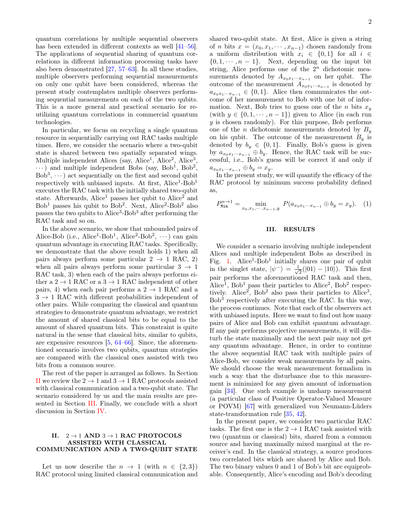quantum correlations by multiple sequential observers has been extended in different contexts as well [\[41–](#page-5-26)[56\]](#page-6-0). The applications of sequential sharing of quantum correlations in different information processing tasks have also been demonstrated [\[27,](#page-5-16) [57](#page-6-1)[–63\]](#page-6-2). In all these studies, multiple observers performing sequential measurements on only one qubit have been considered, whereas the present study contemplates multiple observers performing sequential measurements on each of the two qubits. This is a more general and practical scenario for reutilizing quantum correlations in commercial quantum technologies.

In particular, we focus on recycling a single quantum resource in sequentially carrying out RAC tasks multiple times. Here, we consider the scenario where a two-qubit state is shared between two spatially separated wings. Multiple independent Alices (say, Alice<sup>1</sup>, Alice<sup>2</sup>, Alice<sup>3</sup>,  $\cdots$ ) and multiple independent Bobs (say, Bob<sup>1</sup>, Bob<sup>2</sup>,  $Bob<sup>3</sup>, \cdots$  act sequentially on the first and second qubit respectively with unbiased inputs. At first,  $Alice^1-Bob^1$ executes the RAC task with the initially shared two-qubit state. Afterwards, Alice<sup>1</sup> passes her qubit to Alice<sup>2</sup> and  $Bob<sup>1</sup>$  passes his qubit to  $Bob<sup>2</sup>$ . Next, Alice<sup>2</sup>-Bob<sup>2</sup> also passes the two qubits to Alice<sup>3</sup>-Bob<sup>3</sup> after performing the RAC task and so on.

In the above scenario, we show that unbounded pairs of Alice-Bob (i.e., Alice<sup>1</sup>-Bob<sup>1</sup>, Alice<sup>2</sup>-Bob<sup>2</sup>,  $\cdots$ ) can gain quantum advantage in executing RAC tasks. Specifically, we demonstrate that the above result holds 1) when all pairs always perform some particular  $2 \rightarrow 1$  RAC, 2) when all pairs always perform some particular  $3 \rightarrow 1$ RAC task, 3) when each of the pairs always performs either a  $2 \rightarrow 1$  RAC or a  $3 \rightarrow 1$  RAC independent of other pairs, 4) when each pair performs a  $2 \rightarrow 1$  RAC and a  $3 \rightarrow 1$  RAC with different probabilities independent of other pairs. While comparing the classical and quantum strategies to demonstrate quantum advantage, we restrict the amount of shared classical bits to be equal to the amount of shared quantum bits. This constraint is quite natural in the sense that classical bits, similar to qubits, are expensive resources [\[5,](#page-5-2) [64](#page-6-3)[–66\]](#page-6-4). Since, the aforementioned scenario involves two qubits, quantum strategies are compared with the classical ones assisted with two bits from a common source.

The rest of the paper is arranged as follows. In Section [II](#page-1-0) we review the  $2 \rightarrow 1$  and  $3 \rightarrow 1$  RAC protocols assisted with classical communication and a two-qubit state. The scenario considered by us and the main results are presented in Section [III.](#page-1-1) Finally, we conclude with a short discussion in Section [IV.](#page-4-2)

## <span id="page-1-0"></span>II.  $2 \rightarrow 1$  AND  $3 \rightarrow 1$  RAC PROTOCOLS ASSISTED WITH CLASSICAL COMMUNICATION AND A TWO-QUBIT STATE

Let us now describe the  $n \to 1$  (with  $n \in \{2,3\}$ ) RAC protocol using limited classical communication and shared two-qubit state. At first, Alice is given a string of *n* bits  $x = (x_0, x_1, \dots, x_{n-1})$  chosen randomly from a uniform distribution with  $x_i \in \{0,1\}$  for all  $i \in$  $\{0, 1, \dots, n-1\}$ . Next, depending on the input bit string, Alice performs one of the  $2<sup>n</sup>$  dichotomic measurements denoted by  $A_{x_0x_1\cdots x_{n-1}}$  on her qubit. The outcome of the measurement  $A_{x_0x_1\cdots x_{n-1}}$  is denoted by  $a_{x_0x_1\cdots x_{n-1}} \in \{0,1\}.$  Alice then communicates the outcome of her measurement to Bob with one bit of information. Next, Bob tries to guess one of the *n* bits  $x_y$ (with  $y \in \{0, 1, \dots, n-1\}$ ) given to Alice (in each run  $y$  is chosen randomly). For this purpose, Bob performs one of the *n* dichotomic measurements denoted by  $B_y$ on his qubit. The outcome of the measurement  $B<sub>y</sub>$  is denoted by  $b_y \in \{0, 1\}$ . Finally, Bob's guess is given by  $a_{x_0x_1\cdots x_{n-1}} \oplus b_y$ . Hence, the RAC task will be successful, i.e., Bob's guess will be correct if and only if  $a_{x_0x_1\cdots x_{n-1}} \oplus b_y = x_y.$ 

In the present study, we will quantify the efficacy of the RAC protocol by minimum success probability defined as,

$$
P_{\text{Min}}^{n-1} = \min_{x_0, x_1, \cdots, x_{n-1}, y} \ P(a_{x_0 x_1 \cdots x_{n-1}} \oplus b_y = x_y). \quad (1)
$$

## <span id="page-1-1"></span>III. RESULTS

We consider a scenario involving multiple independent Alices and multiple independent Bobs as described in Fig. [1.](#page-2-0) Alice<sup>1</sup>-Bob<sup>1</sup> initially shares one pair of qubit in the singlet state,  $|\psi^{-}\rangle = \frac{1}{\sqrt{2}}$  $\frac{1}{2}(|01\rangle - |10\rangle)$ . This first pair performs the aforementioned RAC task and then, Alice<sup>1</sup>, Bob<sup>1</sup> pass their particles to Alice<sup>2</sup>, Bob<sup>2</sup> respectively. Alice<sup>2</sup>, Bob<sup>2</sup> also pass their particles to Alice<sup>3</sup>, Bob<sup>3</sup> respectively after executing the RAC. In this way, the process continues. Note that each of the observers act with unbiased inputs. Here we want to find out how many pairs of Alice and Bob can exhibit quantum advantage. If any pair performs projective measurements, it will disturb the state maximally and the next pair may not get any quantum advantage. Hence, in order to continue the above sequential RAC task with multiple pairs of Alice-Bob, we consider weak measurements by all pairs. We should choose the weak measurement formalism in such a way that the disturbance due to this measurement is minimized for any given amount of information gain [\[34\]](#page-5-23). One such example is unsharp measurement (a particular class of Positive Operator-Valued Measure or POVM) [\[67\]](#page-6-5) with generalized von Neumann-Lüders state-transformation rule [\[35,](#page-5-27) [42\]](#page-5-28).

In the present paper, we consider two particular RAC tasks. The first one is the  $2\to1$  RAC task assisted with two (quantum or classical) bits, shared from a common source and having maximally mixed marginal at the receiver's end. In the classical strategy, a source produces two correlated bits which are shared by Alice and Bob. The two binary values 0 and 1 of Bob's bit are equiprobable. Consequently, Alice's encoding and Bob's decoding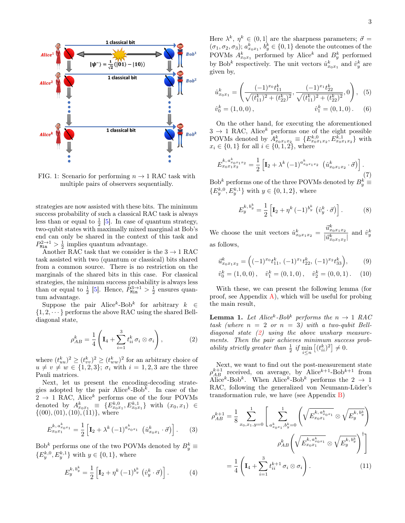<span id="page-2-0"></span>

FIG. 1: Scenario for performing  $n \to 1$  RAC task with multiple pairs of observers sequentially.

strategies are now assisted with these bits. The minimum success probability of such a classical RAC task is always less than or equal to  $\frac{1}{2}$  [\[5\]](#page-5-2). In case of quantum strategy, two-qubit states with maximally mixed marginal at Bob's end can only be shared in the context of this task and  $P_{\text{Min}}^{2 \to 1} > \frac{1}{2}$  implies quantum advantage.

Another RAC task that we consider is the  $3 \rightarrow 1$  RAC task assisted with two (quantum or classical) bits shared from a common source. There is no restriction on the marginals of the shared bits in this case. For classical strategies, the minimum success probability is always less than or equal to  $\frac{1}{2}$  [\[5\]](#page-5-2). Hence,  $P_{Min}^{3\rightarrow1} > \frac{1}{2}$  ensures quantum advantage.

Suppose the pair Alice<sup>k</sup>-Bob<sup>k</sup> for arbitrary  $k \in$  $\{1, 2, \dots\}$  performs the above RAC using the shared Belldiagonal state,

<span id="page-2-1"></span>
$$
\rho_{AB}^k = \frac{1}{4} \left( \mathbf{I}_4 + \sum_{i=1}^3 t_{ii}^k \sigma_i \otimes \sigma_i \right), \tag{2}
$$

where  $(t_{uu}^k)^2 \ge (t_{vv}^k)^2 \ge (t_{ww}^k)^2$  for an arbitrary choice of  $u \neq v \neq w \in \{1, 2, 3\}; \sigma_i$  with  $i = 1, 2, 3$  are the three Pauli matrices.

Next, let us present the encoding-decoding strategies adopted by the pair  $\text{Alice}^k\text{-Bob}^k$ . In case of the  $2 \rightarrow 1$  RAC, Alice<sup>k</sup> performs one of the four POVMs denoted by  $A_{x_0x_1}^k \equiv \{E_{x_0x_1}^{k,0}, E_{x_0x_1}^{k,1}\}$  with  $(x_0, x_1) \in$  $\{(00), (01), (10), (11)\},$  where

<span id="page-2-4"></span>
$$
E_{x_0x_1}^{k, a_{x_0x_1}^k} = \frac{1}{2} \left[ \mathbf{I}_2 + \lambda^k \left( -1 \right)^{a_{x_0x_1}^k} \left( \hat{u}_{x_0x_1}^k \cdot \vec{\sigma} \right) \right]. \tag{3}
$$

Bob<sup>k</sup> performs one of the two POVMs denoted by  $B_y^k \equiv$  ${E_y^{k,0}, E_y^{k,1}}$  with  $y \in \{0,1\}$ , where

<span id="page-2-5"></span>
$$
E_y^{k, b_y^k} = \frac{1}{2} \left[ \mathbf{I}_2 + \eta^k \left( -1 \right)^{b_y^k} \left( \hat{v}_y^k \cdot \vec{\sigma} \right) \right]. \tag{4}
$$

Here  $\lambda^k$ ,  $\eta^k \in (0,1]$  are the sharpness parameters;  $\vec{\sigma} =$  $(\sigma_1, \sigma_2, \sigma_3)$ ;  $a_{x_0x_1}^k$ ,  $b_y^k \in \{0, 1\}$  denote the outcomes of the POVMs  $A_{x_0x_1}^k$  performed by Alice<sup>k</sup> and  $B_y^k$  performed by Bob<sup>k</sup> respectively. The unit vectors  $\hat{u}_{x_0x_1}^k$  and  $\hat{v}_y^k$  are given by,

<span id="page-2-7"></span><span id="page-2-6"></span>
$$
\hat{u}_{x_0x_1}^k = \left(\frac{(-1)^{x_0}t_{11}^k}{\sqrt{(t_{11}^k)^2 + (t_{22}^k)^2}}, \frac{(-1)^{x_1}t_{22}^k}{\sqrt{(t_{11}^k)^2 + (t_{22}^k)^2}}, 0\right), \quad (5)
$$

$$
\hat{v}_0^k = (1, 0, 0), \qquad \hat{v}_1^k = (0, 1, 0). \quad (6)
$$

On the other hand, for executing the aforementioned  $3 \rightarrow 1$  RAC, Alice<sup>k</sup> performs one of the eight possible POVMs denoted by  $A_{x_0x_1x_2}^k \equiv \{E_{x_0x_1x_2}^{k,0}, E_{x_0x_1x_2}^{k,1}\}$  with  $x_i \in \{0, 1\}$  for all  $i \in \{0, 1, 2\}$ , where

<span id="page-2-8"></span>
$$
E_{x_0 x_1 x_2}^{k, a_{x_0 x_1 x_2}^k} = \frac{1}{2} \left[ \mathbf{I}_2 + \lambda^k \left( -1 \right)^{a_{x_0 x_1 x_2}^k} \left( \hat{u}_{x_0 x_1 x_2}^k \cdot \vec{\sigma} \right) \right]. \tag{7}
$$

 ${\rm Bob}^k$  performs one of the three POVMs denoted by  $B_y^k$   $\equiv$  ${E_y^{k,0}, E_y^{k,1}}$  with  $y \in \{0, 1, 2\}$ , where

<span id="page-2-11"></span><span id="page-2-10"></span><span id="page-2-9"></span>
$$
E_y^{k, b_y^k} = \frac{1}{2} \left[ \mathbf{I}_2 + \eta^k \left( -1 \right)^{b_y^k} \left( \hat{v}_y^k \cdot \vec{\sigma} \right) \right]. \tag{8}
$$

We choose the unit vectors  $\hat{u}^k_{x_0x_1x_2}$  =  $\vec{u}_{x_0x_1x_2}^k$  $\frac{u_{x_0x_1x_2}}{|\vec{u}^k_{x_0x_1x_2}|}$  and  $\hat{v}^k_y$ as follows,

$$
\vec{u}_{x_0x_1x_2}^k = \left( (-1)^{x_0} t_{11}^k, \, (-1)^{x_1} t_{22}^k, \, (-1)^{x_2} t_{33}^k \right),\tag{9}
$$

$$
\hat{v}_0^k = (1, 0, 0), \quad \hat{v}_1^k = (0, 1, 0), \quad \hat{v}_2^k = (0, 0, 1).
$$
 (10)

With these, we can present the following lemma (for proof, see Appendix  $\bf{A}$ ), which will be useful for probing the main result,

<span id="page-2-3"></span>**Lemma 1.** Let  $Alice^k$ -Bob<sup>k</sup> performs the  $n \rightarrow 1$  RAC task (where  $n = 2$  or  $n = 3$ ) with a two-qubit Belldiagonal state [\(2\)](#page-2-1) using the above unsharp measurements. Then the pair achieves minimum success probability strictly greater than  $\frac{1}{2}$  if  $\min_{i \leq n} [(t_{ii}^k)^2] \neq 0$ .

Next, we want to find out the post-measurement state  $\rho_{AB}^{k+1}$  received, on average, by Alice<sup>k+1</sup>-Bob<sup>k+1</sup> from  $\widetilde{\text{Alice}}^k$ -Bob<sup>k</sup>. When Alice<sup>k</sup>-Bob<sup>k</sup> performs the  $2 \rightarrow 1$ RAC, following the generalized von Neumann-Lüder's transformation rule, we have (see Appendix [B\)](#page-7-0)

<span id="page-2-2"></span>
$$
\rho_{AB}^{k+1} = \frac{1}{8} \sum_{x_0, x_1, y=0}^{1} \left[ \sum_{\substack{a_{x_0 x_1}^k, b_y^k=0}}^{1} \left( \sqrt{E_{x_0 x_1}^{k, a_{x_0 x_1}^k}} \otimes \sqrt{E_y^{k, b_y^k}} \right) \right]
$$

$$
\rho_{AB}^k \left( \sqrt{E_{x_0 x_1}^{k, a_{x_0 x_1}^k}} \otimes \sqrt{E_y^{k, b_y^k}} \right)^{\dagger} \right]
$$

$$
= \frac{1}{4} \left( \mathbf{I}_4 + \sum_{i=1}^{3} t_{ii}^{k+1} \sigma_i \otimes \sigma_i \right). \tag{11}
$$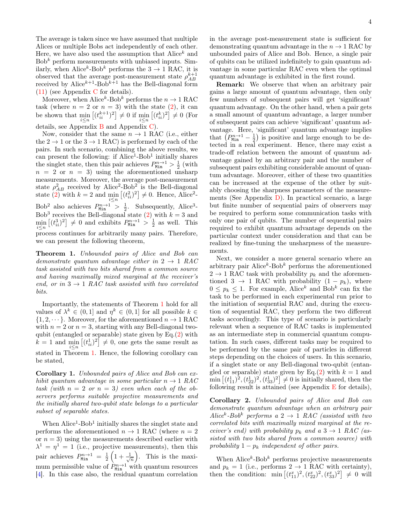4

The average is taken since we have assumed that multiple Alices or multiple Bobs act independently of each other. Here, we have also used the assumption that  $\text{Alice}^k$  and  $Bob<sup>k</sup>$  perform measurements with unbiased inputs. Similarly, when Alice<sup>k</sup>-Bob<sup>k</sup> performs the  $3 \rightarrow 1$  RAC, it is observed that the average post-measurement state  $\rho_{AB}^{k+1}$ received by Alice<sup> $k+1$ </sup>-Bob<sup>k+1</sup> has the Bell-diagonal form [\(11\)](#page-2-2) (see Appendix [C](#page-8-0) for details).

Moreover, when Alice<sup>k</sup>-Bob<sup>k</sup> performs the  $n \to 1$  RAC task (where  $n = 2$  or  $n = 3$ ) with the state [\(2\)](#page-2-1), it can be shown that  $\min_{i \leq n} \left[ (t_{ii}^{k+1})^2 \right] \neq 0$  if  $\min_{i \leq n} \left[ (t_{ii}^k)^2 \right] \neq 0$  (For details, see Appendix [B](#page-7-0) and Appendix [C\)](#page-8-0).

Now, consider that the same  $n \to 1$  RAC (i.e., either the  $2 \rightarrow 1$  or the  $3 \rightarrow 1$  RAC) is performed by each of the pairs. In such scenario, combining the above results, we can present the following: if  $Alice<sup>1</sup>-Bob<sup>1</sup>$  initially shares the singlet state, then this pair achieves  $P_{\text{Min}}^{n \to 1} > \frac{1}{2}$  (with  $n = 2$  or  $n = 3$ ) using the aforementioned unsharp measurements. Moreover, the average post-measurement state  $\rho_{AB}^2$  received by Alice<sup>2</sup>-Bob<sup>2</sup> is the Bell-diagonal state [\(2\)](#page-2-1) with  $k = 2$  and  $\min_{i \leq n} \left[ (t_{ii}^2)^2 \right] \neq 0$ . Hence, Alice<sup>2</sup>-Bob<sup>2</sup> also achieves  $P_{\text{Min}}^{n \to 1} > \frac{1}{2}$ . Subsequently, Alice<sup>3</sup>-Bob<sup>3</sup> receives the Bell-diagonal state [\(2\)](#page-2-1) with  $k = 3$  and  $\min_{i \leq n} \left[ (t_{ii}^3)^2 \right] \neq 0$  and exhibits  $P_{\text{Min}}^{n \to 1} > \frac{1}{2}$  as well. This process continues for arbitrarily many pairs. Therefore, we can present the following theorem,

<span id="page-3-0"></span>Theorem 1. Unbounded pairs of Alice and Bob can demonstrate quantum advantage either in  $2 \rightarrow 1$  RAC task assisted with two bits shared from a common source and having maximally mixed marginal at the receiver's end, or in  $3 \rightarrow 1$  RAC task assisted with two correlated bits.

Importantly, the statements of Theorem [1](#page-3-0) hold for all values of  $\lambda^k \in (0,1]$  and  $\eta^k \in (0,1]$  for all possible  $k \in$  $\{1, 2, \dots\}$ . Moreover, for the aforementioned  $n \to 1$  RAC with  $n = 2$  or  $n = 3$ , starting with any Bell-diagonal twoqubit (entangled or separable) state given by  $Eq.(2)$  $Eq.(2)$  with  $k = 1$  and  $\min_{i \in \mathbb{Z}} \left[ (t_{ii}^1)^2 \right] \neq 0$ , one gets the same result as i≤n stated in Theorem [1.](#page-3-0) Hence, the following corollary can be stated,

Corollary 1. Unbounded pairs of Alice and Bob can exhibit quantum advantage in some particular  $n \to 1$  RAC task (with  $n = 2$  or  $n = 3$ ) even when each of the observers performs suitable projective measurements and the initially shared two-qubit state belongs to a particular subset of separable states.

When  $\text{Alice}^1\text{-}\text{Bob}^1$  initially shares the singlet state and performs the aforementioned  $n \to 1$  RAC (where  $n = 2$ ) or  $n = 3$ ) using the measurements described earlier with  $\lambda^1 = \eta^1 = 1$  (i.e., projective measurements), then this pair achieves  $P_{\text{Min}}^{n \to 1} = \frac{1}{2} \left( 1 + \frac{1}{\sqrt{n}} \right)$ . This is the maximum permissible value of  $P_{\text{Min}}^{n\rightarrow 1}$  with quantum resources [\[4\]](#page-5-1). In this case also, the residual quantum correlation in the average post-measurement state is sufficient for demonstrating quantum advantage in the  $n \to 1$  RAC by unbounded pairs of Alice and Bob. Hence, a single pair of qubits can be utilized indefinitely to gain quantum advantage in some particular RAC even when the optimal quantum advantage is exhibited in the first round.

Remark: We observe that when an arbitrary pair gains a large amount of quantum advantage, then only few numbers of subsequent pairs will get 'significant' quantum advantage. On the other hand, when a pair gets a small amount of quantum advantage, a larger number of subsequent pairs can achieve 'significant' quantum advantage. Here, 'significant' quantum advantage implies that  $\left(P_{\text{Min}}^{n\to1}-\frac{1}{2}\right)$  is positive and large enough to be detected in a real experiment. Hence, there may exist a trade-off relation between the amount of quantum advantage gained by an arbitrary pair and the number of subsequent pairs exhibiting considerable amount of quantum advantage. Moreover, either of these two quantities can be increased at the expense of the other by suitably choosing the sharpness parameters of the measurements (See Appendix [D\)](#page-9-0). In practical scenario, a large but finite number of sequential pairs of observers may be required to perform some communication tasks with only one pair of qubits. The number of sequential pairs required to exhibit quantum advantage depends on the particular context under consideration and that can be realized by fine-tuning the unsharpness of the measurements.

Next, we consider a more general scenario where an arbitrary pair Alice<sup>k</sup>-Bob<sup>k</sup> performs the aforementioned  $2 \rightarrow 1$  RAC task with probability  $p_k$  and the aforementioned 3  $\rightarrow$  1 RAC with probability  $(1 - p_k)$ , where  $0 \leq p_k \leq 1$ . For example, Alice<sup>k</sup> and Bob<sup>k</sup> can fix the task to be performed in each experimental run prior to the initiation of sequential RAC and, during the execution of sequential RAC, they perform the two different tasks accordingly. This type of scenario is particularly relevant when a sequence of RAC tasks is implemented as an intermediate step in commercial quantum computation. In such cases, different tasks may be required to be performed by the same pair of particles in different steps depending on the choices of users. In this scenario, if a singlet state or any Bell-diagonal two-qubit (entan-gled or separable) state given by Eq.[\(2\)](#page-2-1) with  $k = 1$  and  $\min\left[ (t_{11}^1)^2, (t_{22}^1)^2, (t_{33}^1)^2 \right] \neq 0$  is initially shared, then the following result is attained (see Appendix  $E$  for details),

<span id="page-3-1"></span>Corollary 2. Unbounded pairs of Alice and Bob can demonstrate quantum advantage when an arbitrary pair  $Alice^k$ -Bob<sup>k</sup> performs a 2  $\rightarrow$  1 RAC (assisted with two correlated bits with maximally mixed marginal at the receiver's end) with probability  $p_k$  and a 3  $\rightarrow$  1 RAC (assisted with two bits shared from a common source) with probability  $1 - p_k$  independent of other pairs.

When  $\text{Alice}^k\text{-Bob}^k$  performs projective measurements and  $p_k = 1$  (i.e., performs  $2 \rightarrow 1$  RAC with certainty), then the condition:  $\min [(t_{11}^x)^2, (t_{22}^x)^2, (t_{33}^x)^2] \neq 0$  will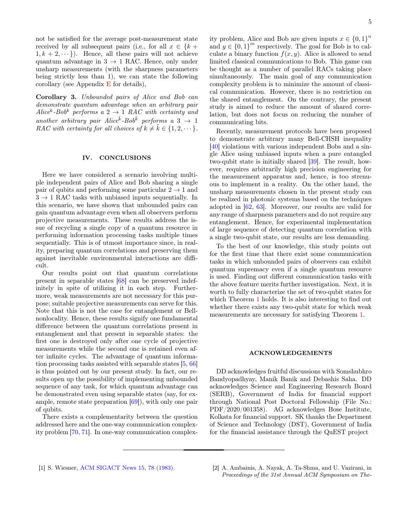not be satisfied for the average post-measurement state received by all subsequent pairs (i.e., for all  $x \in \{k +$  $1, k + 2, \dots$ ). Hence, all these pairs will not achieve quantum advantage in  $3 \rightarrow 1$  RAC. Hence, only under unsharp measurements (with the sharpness parameters being strictly less than 1), we can state the following corollary (see Appendix  $E$  for details),

<span id="page-4-3"></span>Corollary 3. Unbounded pairs of Alice and Bob can demonstrate quantum advantage when an arbitrary pair  $Alice^k$ -Bob<sup>k</sup> performs a 2  $\rightarrow$  1 RAC with certainty and another arbitrary pair  $Alice^{\tilde{k}}$ -Bob $^{\tilde{k}}$  performs a 3  $\rightarrow$  1 RAC with certainty for all choices of  $k \neq \hat{k} \in \{1, 2, \dots\}$ .

#### <span id="page-4-2"></span>IV. CONCLUSIONS

Here we have considered a scenario involving multiple independent pairs of Alice and Bob sharing a single pair of qubits and performing some particular  $2 \rightarrow 1$  and  $3 \rightarrow 1$  RAC tasks with unbiased inputs sequentially. In this scenario, we have shown that unbounded pairs can gain quantum advantage even when all observers perform projective measurements. These results address the issue of recycling a single copy of a quantum resource in performing information processing tasks multiple times sequentially. This is of utmost importance since, in reality, preparing quantum correlations and preserving them against inevitable environmental interactions are difficult.

Our results point out that quantum correlations present in separable states [\[68\]](#page-6-7) can be preserved indefinitely in spite of utilizing it in each step. Furthermore, weak measurements are not necessary for this purpose; suitable projective measurements can serve for this. Note that this is not the case for entanglement or Bellnonlocality. Hence, these results signify one fundamental difference between the quantum correlations present in entanglement and that present in separable states: the first one is destroyed only after one cycle of projective measurements while the second one is retained even after infinite cycles. The advantage of quantum information processing tasks assisted with separable states [\[5,](#page-5-2) [66\]](#page-6-4) is thus pointed out by our present study. In fact, our results open up the possibility of implementing unbounded sequence of any task, for which quantum advantage can be demonstrated even using separable states (say, for example, remote state preparation [\[69\]](#page-6-8)), with only one pair of qubits.

There exists a complementarity between the question addressed here and the one-way communication complexity problem [\[70,](#page-6-9) [71\]](#page-6-10). In one-way communication complex-

ity problem, Alice and Bob are given inputs  $x \in \{0,1\}^n$ and  $y \in \{0,1\}^m$  respectively. The goal for Bob is to calculate a binary function  $f(x, y)$ . Alice is allowed to send limited classical communications to Bob. This game can be thought as a number of parallel RACs taking place simultaneously. The main goal of any communication complexity problem is to minimize the amount of classical communication. However, there is no restriction on the shared entanglement. On the contrary, the present study is aimed to reduce the amount of shared correlation, but does not focus on reducing the number of communicating bits.

Recently, measurement protocols have been proposed to demonstrate arbitrary many Bell-CHSH inequality [\[40\]](#page-5-25) violations with various independent Bobs and a single Alice using unbiased inputs when a pure entangled two-qubit state is initially shared [\[39\]](#page-5-24). The result, however, requires arbitrarily high precision engineering for the measurement apparatus and, hence, is too strenuous to implement in a reality. On the other hand, the unsharp measurements chosen in the present study can be realized in photonic systems based on the techniques adopted in [\[62,](#page-6-11) [63\]](#page-6-2). Moreover, our results are valid for any range of sharpness parameters and do not require any entanglement. Hence, for experimental implementation of large sequence of detecting quantum correlation with a single two-qubit state, our results are less demanding.

To the best of our knowledge, this study points out for the first time that there exist some communication tasks in which unbounded pairs of observers can exhibit quantum supremacy even if a single quantum resource is used. Finding out different communication tasks with the above feature merits further investigation. Next, it is worth to fully characterize the set of two-qubit states for which Theorem [1](#page-3-0) holds. It is also interesting to find out whether there exists any two-qubit state for which weak measurements are necessary for satisfying Theorem [1.](#page-3-0)

#### ACKNOWLEDGEMENTS

<span id="page-4-1"></span>DD acknowledges fruitful discussions with Somshubhro Bandyopadhyay, Manik Banik and Debashis Saha. DD acknowledges Science and Engineering Research Board (SERB), Government of India for financial support through National Post Doctoral Fellowship (File No.: PDF/2020/001358). AG acknowledges Bose Institute, Kolkata for financial support. SK thanks the Department of Science and Technology (DST), Government of India for the financial assistance through the QuEST project

<span id="page-4-0"></span><sup>[1]</sup> S. Wiesner, [ACM SIGACT News 15, 78 \(1983\).](https://doi.org/10.1145/1008908.1008920) [2] A. Ambainis, A. Nayak, A. Ta-Shma, and U. Vazirani, in Proceedings of the 31st Annual ACM Symposium on The-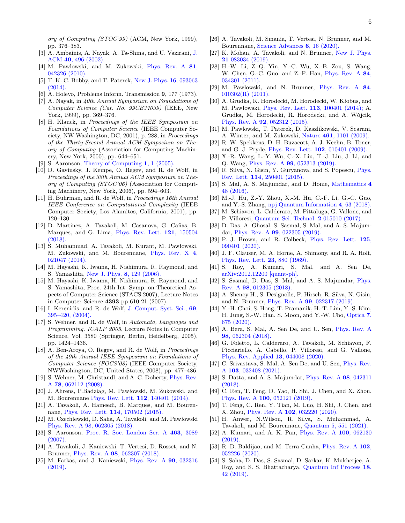ory of Computing (STOC'99) (ACM, New York, 1999), pp. 376–383.

- <span id="page-5-0"></span>[3] A. Ambainis, A. Nayak, A. Ta-Shma, and U. Vazirani, [J.](https://dl.acm.org/doi/10.1145/581771.581773) ACM 49[, 496 \(2002\).](https://dl.acm.org/doi/10.1145/581771.581773)
- <span id="page-5-1"></span>[4] M. Pawlowski, and M. Zukowski, [Phys. Rev. A](https://journals.aps.org/pra/abstract/10.1103/PhysRevA.81.042326) 81, [042326 \(2010\).](https://journals.aps.org/pra/abstract/10.1103/PhysRevA.81.042326)
- <span id="page-5-2"></span>[5] T. K. C. Bobby, and T. Paterek, [New J. Phys. 16, 093063](https://iopscience.iop.org/article/10.1088/1367-2630/16/9/093063) [\(2014\).](https://iopscience.iop.org/article/10.1088/1367-2630/16/9/093063)
- <span id="page-5-3"></span>[6] A. Holevo, Problems Inform. Transmission 9, 177 (1973).
- <span id="page-5-4"></span>[7] A. Nayak, in 40th Annual Symposium on Foundations of Computer Science (Cat. No. 99CB37039) (IEEE, New York, 1999), pp. 369–376.
- <span id="page-5-5"></span>[8] H. Klauck, in Proceedings of the IEEE Symposium on Foundations of Computer Science (IEEE Computer Society, NW Washington, DC, 2001), p. 288; in Proceedings of the Thirty-Second Annual ACM Symposium on Theory of Computing (Association for Computing Machinery, New York, 2000), pp. 644–651.
- [9] S. Aaronson, [Theory of Computing](https://theoryofcomputing.org/articles/v001a001/) 1, 1 (2005).
- [10] D. Gavinsky, J. Kempe, O. Regev, and R. de Wolf, in Proceedings of the 38th Annual ACM Symposium on Theory of Computing (STOC'06) (Association for Computing Machinery, New York, 2006), pp. 594–603.
- [11] H. Buhrman, and R. de Wolf, in Proceedings 16th Annual IEEE Conference on Computational Complexity (IEEE Computer Society, Los Alamitos, California, 2001), pp. 120–130.
- <span id="page-5-6"></span>[12] D. Martínez, A. Tavakoli, M. Casanova, G. Cañas, B. Marques, and G. Lima, [Phys. Rev. Lett.](https://journals.aps.org/prl/abstract/10.1103/PhysRevLett.121.150504) 121, 150504 [\(2018\).](https://journals.aps.org/prl/abstract/10.1103/PhysRevLett.121.150504)
- <span id="page-5-7"></span>[13] S. Muhammad, A. Tavakoli, M. Kurant, M. Pawłowski, M. Żukowski, and M. Bourennane, [Phys. Rev. X](https://journals.aps.org/prx/abstract/10.1103/PhysRevX.4.021047) 4, [021047 \(2014\).](https://journals.aps.org/prx/abstract/10.1103/PhysRevX.4.021047)
- <span id="page-5-8"></span>[14] M. Hayashi, K. Iwama, H. Nishimura, R. Raymond, and S. Yamashita, [New J. Phys.](https://iopscience.iop.org/article/10.1088/1367-2630/8/8/129/meta) 8, 129 (2006).
- <span id="page-5-9"></span>[15] M. Hayashi, K. Iwama, H. Nishimura, R. Raymond, and S. Yamashita, Proc. 24th Int. Symp. on Theoretical Aspects of Computer Science (STACS 2007), Lecture Notes in Computer Science 4393 pp 610-21 (2007).
- <span id="page-5-10"></span>[16] I. Kerenidis, and R. de Wolf, [J. Comput. Syst. Sci.,](https://doi.org/10.1016/j.jcss.2004.04.007) 69, [395–420, \(2004\).](https://doi.org/10.1016/j.jcss.2004.04.007)
- [17] S. Wehner, and R. de Wolf, in Automata, Languages and Programming. ICALP 2005, Lecture Notes in Computer Science, Vol. 3580 (Springer, Berlin, Heidelberg, 2005), pp. 1424–1436.
- <span id="page-5-11"></span>[18] A. Ben-Aroya, O. Regev, and R. de Wolf, in *Proceedings* of the 49th Annual IEEE Symposium on Foundations of Computer Science (FOCS'08) (IEEE Computer Society, NWWashington, DC, United States, 2008), pp. 477–486.
- <span id="page-5-12"></span>[19] S. Wehner, M. Christandl, and A. C. Doherty, [Phys. Rev.](https://journals.aps.org/pra/abstract/10.1103/PhysRevA.78.062112) A 78[, 062112 \(2008\).](https://journals.aps.org/pra/abstract/10.1103/PhysRevA.78.062112)
- [20] J. Ahrens, P.Badziąg, M. Pawłowski, M. Żukowski, and M. Bourennane [Phys. Rev. Lett.](https://journals.aps.org/prl/abstract/10.1103/PhysRevLett.112.140401) 112, 140401 (2014).
- [21] A. Tavakoli, A. Hameedi, B. Marques, and M. Bourennane, [Phys. Rev. Lett.](https://journals.aps.org/prl/abstract/10.1103/PhysRevLett.114.170502) 114, 170502 (2015).
- <span id="page-5-13"></span>[22] M. Czechlewski, D. Saha, A. Tavakoli, and M. Pawłowski [Phys. Rev. A 98, 062305 \(2018\).](https://journals.aps.org/pra/abstract/10.1103/PhysRevA.98.062305)
- <span id="page-5-14"></span>[23] S. Aaronson, [Proc. R. Soc. London Ser. A](https://royalsocietypublishing.org/doi/10.1098/rspa.2007.0113) 463, 3089 [\(2007\).](https://royalsocietypublishing.org/doi/10.1098/rspa.2007.0113)
- <span id="page-5-15"></span>[24] A. Tavakoli, J. Kaniewski, T. Vertesi, D. Rosset, and N. Brunner, Phys. Rev. A 98[, 062307 \(2018\).](https://journals.aps.org/pra/abstract/10.1103/PhysRevA.98.062307)
- [25] M. Farkas, and J. Kaniewski, [Phys. Rev. A](https://journals.aps.org/pra/abstract/10.1103/PhysRevA.99.032316) 99, 032316 [\(2019\).](https://journals.aps.org/pra/abstract/10.1103/PhysRevA.99.032316)
- [26] A. Tavakoli, M. Smania, T. Vertesi, N. Brunner, and M. Bourennane, [Science Advances](https://advances.sciencemag.org/content/6/16/eaaw6664) 6, 16 (2020).
- <span id="page-5-16"></span>[27] K. Mohan, A. Tavakoli, and N. Brunner, [New J. Phys.](https://doi.org/10.1088/1367-2630/ab3773) 21 [083034 \(2019\).](https://doi.org/10.1088/1367-2630/ab3773)
- <span id="page-5-17"></span>[28] H.-W. Li, Z.-Q. Yin, Y.-C. Wu, X.-B. Zou, S. Wang, W. Chen, G.-C. Guo, and Z.-F. Han, [Phys. Rev. A](https://journals.aps.org/pra/abstract/10.1103/PhysRevA.84.034301) 84, [034301 \(2011\).](https://journals.aps.org/pra/abstract/10.1103/PhysRevA.84.034301)
- <span id="page-5-18"></span>[29] M. Pawlowski, and N. Brunner, [Phys. Rev. A](https://journals.aps.org/pra/abstract/10.1103/PhysRevA.84.010302) 84, [010302\(R\) \(2011\).](https://journals.aps.org/pra/abstract/10.1103/PhysRevA.84.010302)
- <span id="page-5-19"></span>[30] A. Grudka, K. Horodecki, M. Horodecki, W. Kłobus, and M. Pawłowski, [Phys. Rev. Lett.](https://journals.aps.org/prl/abstract/10.1103/PhysRevLett.113.100401) 113, 100401 (2014); A. Grudka, M. Horodecki, R. Horodecki, and A. Wójcik, Phys. Rev. A 92[, 052312 \(2015\).](https://journals.aps.org/pra/abstract/10.1103/PhysRevA.92.052312)
- <span id="page-5-20"></span>[31] M. Pawlowski, T. Paterek, D. Kaszlikowski, V. Scarani, A. Winter, and M. Zukowski, Nature 461[, 1101 \(2009\).](https://www.nature.com/articles/nature08400)
- <span id="page-5-21"></span>[32] R. W. Spekkens, D. H. Buzacott, A. J. Keehn, B. Toner, and G. J. Pryde, [Phys. Rev. Lett.](https://journals.aps.org/prl/abstract/10.1103/PhysRevLett.102.010401) 102, 010401 (2009).
- <span id="page-5-22"></span>[33] X.-R. Wang, L.-Y. Wu, C.-X. Liu, T.-J. Liu, J. Li, and Q. Wang, Phys. Rev. A 99[, 052313 \(2019\).](https://journals.aps.org/pra/abstract/10.1103/PhysRevA.99.052313)
- <span id="page-5-23"></span>[34] R. Silva, N. Gisin, Y. Guryanova, and S. Popescu, [Phys.](https://journals.aps.org/prl/abstract/10.1103/PhysRevLett.114.250401) Rev. Lett. 114[, 250401 \(2015\).](https://journals.aps.org/prl/abstract/10.1103/PhysRevLett.114.250401)
- <span id="page-5-27"></span>[35] S. Mal, A. S. Majumdar, and D. Home, [Mathematics](http://www.mdpi.com/2227-7390/4/3/48/htm) 4 [48 \(2016\).](http://www.mdpi.com/2227-7390/4/3/48/htm)
- [36] M.-J. Hu, Z.-Y. Zhou, X.-M. Hu, C.-F. Li, G.-C. Guo, and Y.-S. Zhang, [npj Quantum Information](https://www.nature.com/articles/s41534-018-0115-x) 4, 63 (2018).
- [37] M. Schiavon, L. Calderaro, M. Pittaluga, G. Vallone, and P. Villoresi, [Quantum Sci. Technol.](http://iopscience.iop.org/article/10.1088/2058-9565/aa62be/meta) 2 015010 (2017).
- [38] D. Das, A. Ghosal, S. Sasmal, S. Mal, and A. S. Majumdar, Phys. Rev. A 99[, 022305 \(2019\).](https://journals.aps.org/pra/abstract/10.1103/PhysRevA.99.022305)
- <span id="page-5-24"></span>[39] P. J. Brown, and R. Colbeck, [Phys. Rev. Lett.](https://journals.aps.org/prl/abstract/10.1103/PhysRevLett.125.090401)  $125$ , [090401 \(2020\).](https://journals.aps.org/prl/abstract/10.1103/PhysRevLett.125.090401)
- <span id="page-5-25"></span>[40] J. F. Clauser, M. A. Horne, A. Shimony, and R. A. Holt, [Phys. Rev. Lett.](https://journals.aps.org/prl/abstract/10.1103/PhysRevLett.23.880) 23, 880 (1969).
- <span id="page-5-26"></span>[41] S. Roy, A. Kumari, S. Mal, and A. Sen De, [arXiv:2012.12200 \[quant-ph\].](https://arxiv.org/abs/2012.12200)
- <span id="page-5-28"></span>[42] S. Sasmal, D. Das, S. Mal, and A. S. Majumdar, *[Phys.](https://journals.aps.org/pra/abstract/10.1103/PhysRevA.98.012305)* Rev. A 98[, 012305 \(2018\).](https://journals.aps.org/pra/abstract/10.1103/PhysRevA.98.012305)
- [43] A. Shenoy H., S. Designolle, F. Hirsch, R. Silva, N. Gisin, and N. Brunner, Phys. Rev. A 99[, 022317 \(2019\).](https://journals.aps.org/pra/abstract/10.1103/PhysRevA.99.022317)
- [44] Y.-H. Choi, S. Hong, T. Pramanik, H.-T. Lim, Y.-S. Kim, H. Jung, S.-W. Han, S. Moon, and Y.-W. Cho, [Optica](https://www.osapublishing.org/optica/fulltext.cfm?uri=optica-7-6-675&id=432421) 7, [675 \(2020\).](https://www.osapublishing.org/optica/fulltext.cfm?uri=optica-7-6-675&id=432421)
- [45] A. Bera, S. Mal, A. Sen De, and U. Sen, [Phys. Rev. A](https://journals.aps.org/pra/abstract/10.1103/PhysRevA.98.062304) 98[, 062304 \(2018\).](https://journals.aps.org/pra/abstract/10.1103/PhysRevA.98.062304)
- [46] G. Foletto, L. Calderaro, A. Tavakoli, M. Schiavon, F. Picciariello, A. Cabello, P. Villoresi, and G. Vallone, [Phys. Rev. Applied](https://journals.aps.org/prapplied/abstract/10.1103/PhysRevApplied.13.044008) 13, 044008 (2020).
- [47] C. Srivastava, S. Mal, A. Sen De, and U. Sen, [Phys. Rev.](https://journals.aps.org/pra/abstract/10.1103/PhysRevA.103.032408) A 103[, 032408 \(2021\).](https://journals.aps.org/pra/abstract/10.1103/PhysRevA.103.032408)
- [48] S. Datta, and A. S. Majumdar, [Phys. Rev. A](https://journals.aps.org/pra/abstract/10.1103/PhysRevA.98.042311) 98, 042311 [\(2018\).](https://journals.aps.org/pra/abstract/10.1103/PhysRevA.98.042311)
- [49] C. Ren, T. Feng, D. Yao, H. Shi, J. Chen, and X. Zhou, Phys. Rev. A 100[, 052121 \(2019\).](https://journals.aps.org/pra/abstract/10.1103/PhysRevA.100.052121)
- [50] T. Feng, C. Ren, Y. Tian, M. Luo, H. Shi, J. Chen, and X. Zhou, Phys. Rev. A 102[, 032220 \(2020\).](https://journals.aps.org/pra/abstract/10.1103/PhysRevA.102.032220)
- [51] H. Anwer, N.Wilson, R. Silva, S. Muhammad, A. Tavakoli, and M. Bourennane, [Quantum 5, 551 \(2021\).]( https://doi.org/10.22331/q-2021-09-28-551)
- [52] A. Kumari, and A. K. Pan, [Phys. Rev. A](https://journals.aps.org/pra/abstract/10.1103/PhysRevA.100.062130) 100, 062130 [\(2019\).](https://journals.aps.org/pra/abstract/10.1103/PhysRevA.100.062130)
- [53] R. D. Baldijao, and M. Terra Cunha, [Phys. Rev. A](https://journals.aps.org/pra/abstract/10.1103/PhysRevA.102.052226) 102, [052226 \(2020\).](https://journals.aps.org/pra/abstract/10.1103/PhysRevA.102.052226)
- [54] S. Saha, D. Das, S. Sasmal, D. Sarkar, K. Mukherjee, A. Roy, and S. S. Bhattacharya, [Quantum Inf Process](https://doi.org/10.1007/s11128-018-2161-x) 18, [42 \(2019\).](https://doi.org/10.1007/s11128-018-2161-x)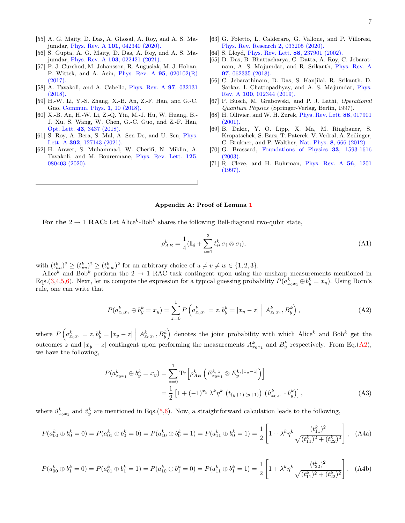- [55] A. G. Maity, D. Das, A. Ghosal, A. Roy, and A. S. Majumdar, Phys. Rev. A 101[, 042340 \(2020\).](https://journals.aps.org/pra/abstract/10.1103/PhysRevA.101.042340)
- <span id="page-6-0"></span>[56] S. Gupta, A. G. Maity, D. Das, A. Roy, and A. S. Majumdar, Phys. Rev. A 103[, 022421 \(2021\)..](https://journals.aps.org/pra/abstract/10.1103/PhysRevA.103.022421)
- <span id="page-6-1"></span>[57] F. J. Curchod, M. Johansson, R. Augusiak, M. J. Hoban, P. Wittek, and A. Acin, [Phys. Rev. A](https://journals.aps.org/pra/abstract/10.1103/PhysRevA.95.020102)  $95$ ,  $020102(R)$ [\(2017\).](https://journals.aps.org/pra/abstract/10.1103/PhysRevA.95.020102)
- [58] A. Tavakoli, and A. Cabello, [Phys. Rev. A](https://journals.aps.org/pra/abstract/10.1103/PhysRevA.97.032131) 97, 032131 [\(2018\).](https://journals.aps.org/pra/abstract/10.1103/PhysRevA.97.032131)
- [59] H.-W. Li, Y.-S. Zhang, X.-B. An, Z.-F. Han, and G.-C. Guo, [Commun. Phys.](https://www.nature.com/articles/s42005-018-0011-x) 1, 10 (2018).
- [60] X.-B. An, H.-W. Li, Z.-Q. Yin, M.-J. Hu, W. Huang, B.- J. Xu, S. Wang, W. Chen, G.-C. Guo, and Z.-F. Han, Opt. Lett. 43[, 3437 \(2018\).](https://www.osapublishing.org/ol/abstract.cfm?uri=ol-43-14-3437)
- [61] S. Roy, A. Bera, S. Mal, A. Sen De, and U. Sen, [Phys.](https://www.sciencedirect.com/science/article/abs/pii/S0375960121000074) Lett. A 392[, 127143 \(2021\).](https://www.sciencedirect.com/science/article/abs/pii/S0375960121000074)
- <span id="page-6-11"></span>[62] H. Anwer, S. Muhammad, W. Cherifi, N. Miklin, A. Tavakoli, and M. Bourennane, [Phys. Rev. Lett.](https://journals.aps.org/prl/abstract/10.1103/PhysRevLett.125.080403) 125, [080403 \(2020\).](https://journals.aps.org/prl/abstract/10.1103/PhysRevLett.125.080403)
- <span id="page-6-2"></span>[63] G. Foletto, L. Calderaro, G. Vallone, and P. Villoresi, [Phys. Rev. Research](https://journals.aps.org/prresearch/abstract/10.1103/PhysRevResearch.2.033205) 2, 033205 (2020).
- <span id="page-6-3"></span>[64] S. Lloyd, [Phys. Rev. Lett.](https://journals.aps.org/prl/abstract/10.1103/PhysRevLett.88.237901) 88, 237901 (2002).
- [65] D. Das, B. Bhattacharya, C. Datta, A. Roy, C. Jebaratnam, A. S. Majumdar, and R. Srikanth, [Phys. Rev. A](https://journals.aps.org/pra/abstract/10.1103/PhysRevA.97.062335) 97[, 062335 \(2018\).](https://journals.aps.org/pra/abstract/10.1103/PhysRevA.97.062335)
- <span id="page-6-4"></span>[66] C. Jebarathinam, D. Das, S. Kanjilal, R. Srikanth, D. Sarkar, I. Chattopadhyay, and A. S. Majumdar, [Phys.](https://journals.aps.org/pra/abstract/10.1103/PhysRevA.100.012344) Rev. A 100[, 012344 \(2019\).](https://journals.aps.org/pra/abstract/10.1103/PhysRevA.100.012344)
- <span id="page-6-5"></span>[67] P. Busch, M. Grabowski, and P. J. Lathi, Operational Quantum Physics (Springer-Verlag, Berlin, 1997).
- <span id="page-6-7"></span>[68] H. Ollivier, and W. H. Zurek, [Phys. Rev. Lett.](https://journals.aps.org/prl/abstract/10.1103/PhysRevLett.88.017901) 88, 017901  $(2001)$ .
- <span id="page-6-8"></span>[69] B. Dakic, Y. O. Lipp, X. Ma, M. Ringbauer, S. Kropatschek, S. Barz, T. Paterek, V. Vedral, A. Zeilinger, C. Brukner, and P. Walther, Nat. Phys. 8[, 666 \(2012\).](https://www.nature.com/articles/nphys2377)
- <span id="page-6-9"></span>[70] G. Brassard, [Foundations of Physics](https://link.springer.com/article/10.1023/A:1026009100467) 33, 1593-1616 [\(2003\).](https://link.springer.com/article/10.1023/A:1026009100467)
- <span id="page-6-12"></span><span id="page-6-10"></span>[71] R. Cleve, and H. Buhrman, [Phys. Rev. A](https://journals.aps.org/pra/abstract/10.1103/PhysRevA.56.1201) 56, 1201 [\(1997\).](https://journals.aps.org/pra/abstract/10.1103/PhysRevA.56.1201)

### <span id="page-6-6"></span>Appendix A: Proof of Lemma [1](#page-2-3)

For the  $2 \to 1$  RAC: Let Alice<sup>k</sup>-Bob<sup>k</sup> shares the following Bell-diagonal two-qubit state,

<span id="page-6-13"></span>
$$
\rho_{AB}^k = \frac{1}{4} (\mathbf{I}_4 + \sum_{i=1}^3 t_{ii}^k \sigma_i \otimes \sigma_i), \tag{A1}
$$

with  $(t_{uu}^k)^2 \ge (t_{vv}^k)^2 \ge (t_{ww}^k)^2$  for an arbitrary choice of  $u \ne v \ne w \in \{1, 2, 3\}.$ 

Alice<sup>k</sup> and Bob<sup>k</sup> perform the 2  $\rightarrow$  1 RAC task contingent upon using the unsharp measurements mentioned in Eqs.[\(3,](#page-2-4)[4](#page-2-5)[,5,](#page-2-6)[6\)](#page-2-7). Next, let us compute the expression for a typical guessing probability  $P(a_{x_0x_1}^k \oplus b_y^k = x_y)$ . Using Born's rule, one can write that

$$
P(a_{x_0x_1}^k \oplus b_y^k = x_y) = \sum_{z=0}^1 P\left(a_{x_0x_1}^k = z, b_y^k = |x_y - z| \mid A_{x_0x_1}^k, B_y^k\right),\tag{A2}
$$

where  $P\left(a_{x_0x_1}^k = z, b_y^k = |x_y - z| \mid A_{x_0x_1}^k, B_y^k\right)$  denotes the joint probability with which Alice<sup>k</sup> and Bob<sup>k</sup> get the outcomes z and  $|x_y - z|$  contingent upon performing the measurements  $A_{x_0x_1}^k$  and  $B_y^k$  respectively. From Eq.[\(A2\)](#page-6-12), we have the following,

$$
P(a_{x_0x_1}^k \oplus b_y^k = x_y) = \sum_{z=0}^1 \text{Tr} \left[ \rho_{AB}^k \left( E_{x_0x_1}^{k,z} \otimes E_y^{k, |x_y - z|} \right) \right]
$$
  
=  $\frac{1}{2} \left[ 1 + (-1)^{x_y} \lambda^k \eta^k \left( t_{(y+1)(y+1)} \right) \left( \hat{u}_{x_0x_1}^k \cdot \hat{v}_y^k \right) \right],$  (A3)

where  $\hat{u}_{x_0x_1}^k$  and  $\hat{v}_y^k$  are mentioned in Eqs.[\(5,](#page-2-6)[6\)](#page-2-7). Now, a straightforward calculation leads to the following,

$$
P(a_{00}^k \oplus b_0^k = 0) = P(a_{01}^k \oplus b_0^k = 0) = P(a_{10}^k \oplus b_0^k = 1) = P(a_{11}^k \oplus b_0^k = 1) = \frac{1}{2} \left[ 1 + \lambda^k \eta^k \frac{(t_{11}^k)^2}{\sqrt{(t_{11}^k)^2 + (t_{22}^k)^2}} \right], \quad \text{(A4a)}
$$

$$
P(a_{00}^k \oplus b_1^k = 0) = P(a_{01}^k \oplus b_1^k = 1) = P(a_{10}^k \oplus b_1^k = 0) = P(a_{11}^k \oplus b_1^k = 1) = \frac{1}{2} \left[ 1 + \lambda^k \eta^k \frac{(t_{22}^k)^2}{\sqrt{(t_{11}^k)^2 + (t_{22}^k)^2}} \right].
$$
 (A4b)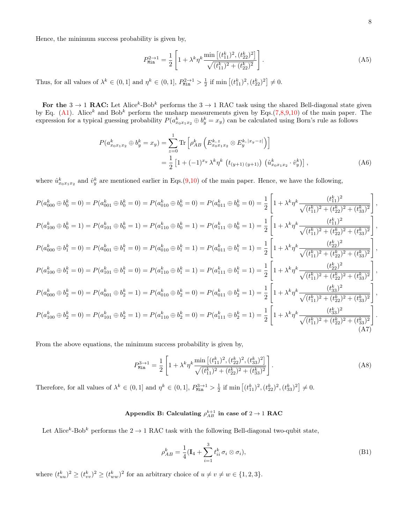$$
P_{\text{Min}}^{2 \to 1} = \frac{1}{2} \left[ 1 + \lambda^k \eta^k \frac{\min\left[ (t_{11}^k)^2, (t_{22}^k)^2 \right]}{\sqrt{(t_{11}^k)^2 + (t_{22}^k)^2}} \right]. \tag{A5}
$$

Thus, for all values of  $\lambda^k \in (0,1]$  and  $\eta^k \in (0,1]$ ,  $P_{\text{Min}}^{2\to 1} > \frac{1}{2}$  if  $\min\left[ (t_{11}^k)^2, (t_{22}^k)^2 \right] \neq 0$ .

For the  $3 \to 1$  RAC: Let Alice<sup>k</sup>-Bob<sup>k</sup> performs the  $3 \to 1$  RAC task using the shared Bell-diagonal state given by Eq. [\(A1\)](#page-6-13). Alice<sup>k</sup> and Bob<sup>k</sup> perform the unsharp measurements given by Eqs.[\(7](#page-2-8)[,8,](#page-2-9)[9,](#page-2-10)[10\)](#page-2-11) of the main paper. The expression for a typical guessing probability  $P(a_{x_0x_1x_2}^k \oplus b_y^k = x_y)$  can be calculated using Born's rule as follows

$$
P(a_{x_0x_1x_2}^k \oplus b_y^k = x_y) = \sum_{z=0}^1 \text{Tr} \left[ \rho_{AB}^k \left( E_{x_0x_1x_2}^{k,z} \otimes E_y^{k, |x_y - z|} \right) \right]
$$
  
=  $\frac{1}{2} \left[ 1 + (-1)^{x_y} \lambda^k \eta^k \left( t_{(y+1)(y+1)} \right) \left( \hat{u}_{x_0x_1x_2}^k \cdot \hat{v}_y^k \right) \right],$  (A6)

where  $\hat{u}^k_{x_0x_1x_2}$  and  $\hat{v}^k_y$  are mentioned earlier in Eqs.[\(9,](#page-2-10)[10\)](#page-2-11) of the main paper. Hence, we have the following,

$$
P(a_{000}^k \oplus b_0^k = 0) = P(a_{001}^k \oplus b_0^k = 0) = P(a_{010}^k \oplus b_0^k = 0) = P(a_{011}^k \oplus b_0^k = 0) = \frac{1}{2} \left[ 1 + \lambda^k \eta^k \frac{(t_{11}^k)^2}{\sqrt{(t_{11}^k)^2 + (t_{22}^k)^2 + (t_{33}^k)^2}} \right],
$$
  
\n
$$
P(a_{100}^k \oplus b_0^k = 1) = P(a_{101}^k \oplus b_0^k = 1) = P(a_{110}^k \oplus b_0^k = 1) = P(a_{111}^k \oplus b_0^k = 1) = \frac{1}{2} \left[ 1 + \lambda^k \eta^k \frac{(t_{11}^k)^2}{\sqrt{(t_{11}^k)^2 + (t_{22}^k)^2 + (t_{33}^k)^2}} \right],
$$
  
\n
$$
P(a_{000}^k \oplus b_1^k = 0) = P(a_{001}^k \oplus b_1^k = 0) = P(a_{010}^k \oplus b_1^k = 1) = P(a_{011}^k \oplus b_1^k = 1) = \frac{1}{2} \left[ 1 + \lambda^k \eta^k \frac{(t_{22}^k)^2}{\sqrt{(t_{11}^k)^2 + (t_{22}^k)^2 + (t_{33}^k)^2}} \right],
$$
  
\n
$$
P(a_{100}^k \oplus b_1^k = 0) = P(a_{101}^k \oplus b_1^k = 0) = P(a_{110}^k \oplus b_1^k = 1) = P(a_{111}^k \oplus b_1^k = 1) = \frac{1}{2} \left[ 1 + \lambda^k \eta^k \frac{(t_{22}^k)^2}{\sqrt{(t_{11}^k)^2 + (t_{22}^k)^2 + (t_{33}^k)^2}} \right],
$$
  
\n
$$
P(a_{000}^k \oplus b_2^k = 0) = P(a_{001}^k \oplus b_2^k = 1) = P(a_{010}^k \oplus b_2^k = 0) = P(a_{01
$$

From the above equations, the minimum success probability is given by,

$$
P_{\text{Min}}^{3\to1} = \frac{1}{2} \left[ 1 + \lambda^k \eta^k \frac{\min\left[ (t_{11}^k)^2, (t_{22}^k)^2, (t_{33}^k)^2 \right]}{\sqrt{(t_{11}^k)^2 + (t_{22}^k)^2 + (t_{33}^k)^2}} \right].
$$
 (A8)

Therefore, for all values of  $\lambda^k \in (0,1]$  and  $\eta^k \in (0,1]$ ,  $P_{\text{Min}}^{3\to 1} > \frac{1}{2}$  if  $\min\left[ (t_{11}^k)^2, (t_{22}^k)^2, (t_{33}^k)^2 \right] \neq 0$ .

# <span id="page-7-0"></span>Appendix B: Calculating  $\rho_{AB}^{k+1}$  in case of  $2\to1$  RAC

Let Alice<sup>k</sup>-Bob<sup>k</sup> performs the  $2 \rightarrow 1$  RAC task with the following Bell-diagonal two-qubit state,

$$
\rho_{AB}^k = \frac{1}{4} (\mathbf{I}_4 + \sum_{i=1}^3 t_{ii}^k \sigma_i \otimes \sigma_i),
$$
\n(B1)

where  $(t_{uu}^k)^2 \ge (t_{vv}^k)^2 \ge (t_{ww}^k)^2$  for an arbitrary choice of  $u \ne v \ne w \in \{1, 2, 3\}.$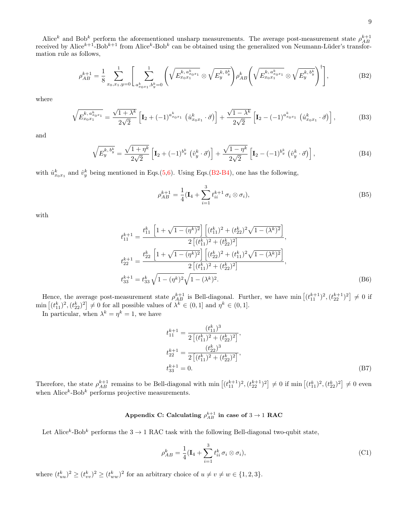Alice<sup>k</sup> and Bob<sup>k</sup> perform the aforementioned unsharp measurements. The average post-measurement state  $\rho_{AB}^{k+1}$  received by Alice<sup>k+1</sup>-Bob<sup>k+1</sup> from Alice<sup>k</sup>-Bob<sup>k</sup> can be obtained using the generalized von Neumann-L mation rule as follows,

$$
\rho_{AB}^{k+1} = \frac{1}{8} \sum_{x_0, x_1, y_0 = 0}^{1} \left[ \sum_{\substack{a_{x_0 x_1}^k, b_y^k = 0}}^{1} \left( \sqrt{E_{x_0 x_1}^{k, a_{x_0 x_1}^k}} \otimes \sqrt{E_y^{k, b_y^k}} \right) \rho_{AB}^k \left( \sqrt{E_{x_0 x_1}^{k, a_{x_0 x_1}^k}} \otimes \sqrt{E_y^{k, b_y^k}} \right)^{\dagger} \right],
$$
\n(B2)

where

$$
\sqrt{E_{x_0x_1}^{k, a_{x_0x_1}^k}} = \frac{\sqrt{1+\lambda^k}}{2\sqrt{2}} \left[ \mathbf{I}_2 + (-1)^{a_{x_0x_1}^k} \left( \hat{u}_{x_0x_1}^k \cdot \vec{\sigma} \right) \right] + \frac{\sqrt{1-\lambda^k}}{2\sqrt{2}} \left[ \mathbf{I}_2 - (-1)^{a_{x_0x_1}^k} \left( \hat{u}_{x_0x_1}^k \cdot \vec{\sigma} \right) \right],
$$
\n(B3)

and

<span id="page-8-2"></span>
$$
\sqrt{E_y^{k, b_y^k}} = \frac{\sqrt{1 + \eta^k}}{2\sqrt{2}} \left[ \mathbf{I}_2 + (-1)^{b_y^k} \left( \hat{v}_y^k \cdot \vec{\sigma} \right) \right] + \frac{\sqrt{1 - \eta^k}}{2\sqrt{2}} \left[ \mathbf{I}_2 - (-1)^{b_y^k} \left( \hat{v}_y^k \cdot \vec{\sigma} \right) \right],
$$
\n(B4)

with  $\hat{u}_{x_0x_1}^k$  and  $\hat{v}_y^k$  being mentioned in Eqs.[\(5](#page-2-6)[,6\)](#page-2-7). Using Eqs.[\(B2-](#page-8-1)[B4\)](#page-8-2), one has the following,

<span id="page-8-1"></span>
$$
\rho_{AB}^{k+1} = \frac{1}{4} (\mathbf{I}_4 + \sum_{i=1}^3 t_{ii}^{k+1} \sigma_i \otimes \sigma_i),
$$
\n(B5)

with

$$
t_{11}^{k+1} = \frac{t_{11}^k \left[1 + \sqrt{1 - (\eta^k)^2}\right] \left[ (t_{11}^k)^2 + (t_{22}^k)^2 \sqrt{1 - (\lambda^k)^2} \right]}{2 \left[ (t_{11}^k)^2 + (t_{22}^k)^2 \right]},
$$
  
\n
$$
t_{22}^{k+1} = \frac{t_{22}^k \left[1 + \sqrt{1 - (\eta^k)^2}\right] \left[ (t_{22}^k)^2 + (t_{11}^k)^2 \sqrt{1 - (\lambda^k)^2} \right]}{2 \left[ (t_{11}^k)^2 + (t_{22}^k)^2 \right]},
$$
  
\n
$$
t_{33}^{k+1} = t_{33}^k \sqrt{1 - (\eta^k)^2} \sqrt{1 - (\lambda^k)^2}.
$$
\n(B6)

Hence, the average post-measurement state  $\rho_{AB}^{k+1}$  is Bell-diagonal. Further, we have  $\min\left[ (t_{11}^{k+1})^2, (t_{22}^{k+1})^2 \right] \neq 0$  if  $\min\left[ (t_{11}^k)^2, (t_{22}^k)^2 \right] \neq 0$  for all possible values of  $\lambda^k \in (0,1]$  and  $\eta^k \in (0,1]$ .

In particular, when  $\lambda^k = \eta^k = 1$ , we have

<span id="page-8-3"></span>
$$
t_{11}^{k+1} = \frac{(t_{11}^k)^3}{2\left[(t_{11}^k)^2 + (t_{22}^k)^2\right]},
$$
  
\n
$$
t_{22}^{k+1} = \frac{(t_{22}^k)^3}{2\left[(t_{11}^k)^2 + (t_{22}^k)^2\right]},
$$
  
\n
$$
t_{33}^{k+1} = 0.
$$
\n(B7)

Therefore, the state  $\rho_{AB}^{k+1}$  remains to be Bell-diagonal with  $\min\left[ (t_{11}^{k+1})^2, (t_{22}^{k+1})^2 \right] \neq 0$  if  $\min\left[ (t_{11}^k)^2, (t_{22}^k)^2 \right] \neq 0$  even when  $\text{Alice}^k\text{-}\text{Bob}^k$  performs projective measurements.

# <span id="page-8-0"></span>Appendix C: Calculating  $\rho_{AB}^{k+1}$  in case of  $3\rightarrow 1$  RAC

Let Alice<sup>k</sup>-Bob<sup>k</sup> performs the  $3 \to 1$  RAC task with the following Bell-diagonal two-qubit state,

$$
\rho_{AB}^k = \frac{1}{4} (\mathbf{I}_4 + \sum_{i=1}^3 t_{ii}^k \sigma_i \otimes \sigma_i),\tag{C1}
$$

where  $(t_{uu}^k)^2 \ge (t_{vv}^k)^2 \ge (t_{ww}^k)^2$  for an arbitrary choice of  $u \ne v \ne w \in \{1, 2, 3\}.$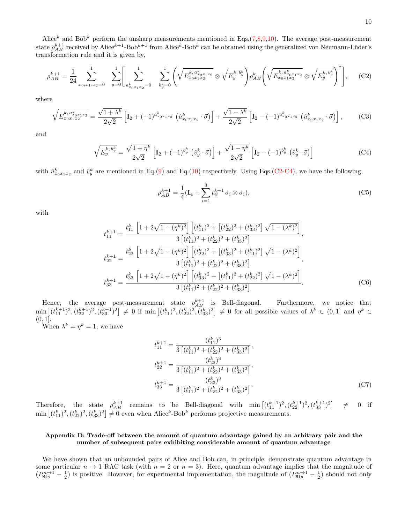Alice<sup>k</sup> and Bob<sup>k</sup> perform the unsharp measurements mentioned in Eqs.[\(7,](#page-2-8)[8,](#page-2-9)[9,](#page-2-10)[10\)](#page-2-11). The average post-measurement state  $\rho_{AB}^{k+1}$  received by Alice<sup>k+1</sup>-Bob<sup>k+1</sup> from Alice<sup>k</sup>-Bob<sup>k</sup> can be obtained using the generalized von Neumann-Lüder's transformation rule and it is given by,

$$
\rho_{AB}^{k+1} = \frac{1}{24} \sum_{x_0, x_1, x_2 = 0}^{1} \sum_{y=0}^{1} \left[ \sum_{a_{x_0 x_1 x_2}^k = 0}^{1} \sum_{b_y^k = 0}^{1} \left( \sqrt{E_{x_0 x_1 x_2}^{k, a_{x_0 x_1 x_2}^k}} \otimes \sqrt{E_y^{k, b_y^k}} \right) \rho_{AB}^k \left( \sqrt{E_{x_0 x_1 x_2}^{k, a_{x_0 x_1 x_2}^k}} \otimes \sqrt{E_y^{k, b_y^k}} \right)^{\dagger} \right], \quad (C2)
$$

where

$$
\sqrt{E_{x_0x_1x_2}^{k, a_{x_0x_1x_2}^{k}}}\ = \frac{\sqrt{1+\lambda^k}}{2\sqrt{2}} \left[ \mathbf{I}_2 + (-1)^{a_{x_0x_1x_2}^{k}} \left( \hat{u}_{x_0x_1x_2}^k \cdot \vec{\sigma} \right) \right] + \frac{\sqrt{1-\lambda^k}}{2\sqrt{2}} \left[ \mathbf{I}_2 - (-1)^{a_{x_0x_1x_2}^{k}} \left( \hat{u}_{x_0x_1x_2}^k \cdot \vec{\sigma} \right) \right],
$$
 (C3)

and

<span id="page-9-2"></span>
$$
\sqrt{E_y^{k,b_y^k}} = \frac{\sqrt{1+\eta^k}}{2\sqrt{2}} \left[ \mathbf{I}_2 + (-1)^{b_y^k} \left( \hat{v}_y^k \cdot \vec{\sigma} \right) \right] + \frac{\sqrt{1-\eta^k}}{2\sqrt{2}} \left[ \mathbf{I}_2 - (-1)^{b_y^k} \left( \hat{v}_y^k \cdot \vec{\sigma} \right) \right]
$$
\n(C4)

with  $\hat{u}_{x_0x_1x_2}^k$  and  $\hat{v}_y^k$  are mentioned in Eq.[\(9\)](#page-2-10) and Eq.[\(10\)](#page-2-11) respectively. Using Eqs.[\(C2-](#page-9-1)[C4\)](#page-9-2), we have the following,

<span id="page-9-1"></span>
$$
\rho_{AB}^{k+1} = \frac{1}{4} (\mathbf{I}_4 + \sum_{i=1}^3 t_{ii}^{k+1} \sigma_i \otimes \sigma_i), \tag{C5}
$$

with

$$
t_{11}^{k+1} = \frac{t_{11}^k \left[1 + 2\sqrt{1 - (\eta^k)^2}\right] \left[(t_{11}^k)^2 + \left[(t_{22}^k)^2 + (t_{33}^k)^2\right] \sqrt{1 - (\lambda^k)^2}\right]}{3 \left[(t_{11}^k)^2 + (t_{22}^k)^2 + (t_{33}^k)^2\right]},
$$
  
\n
$$
t_{22}^{k+1} = \frac{t_{22}^k \left[1 + 2\sqrt{1 - (\eta^k)^2}\right] \left[(t_{22}^k)^2 + \left[(t_{33}^k)^2 + (t_{11}^k)^2\right] \sqrt{1 - (\lambda^k)^2}\right]}{3 \left[(t_{11}^k)^2 + (t_{22}^k)^2 + (t_{33}^k)^2\right]},
$$
  
\n
$$
t_{33}^{k+1} = \frac{t_{33}^k \left[1 + 2\sqrt{1 - (\eta^k)^2}\right] \left[(t_{33}^k)^2 + \left[(t_{11}^k)^2 + (t_{22}^k)^2\right] \sqrt{1 - (\lambda^k)^2}\right]}{3 \left[(t_{11}^k)^2 + (t_{22}^k)^2 + (t_{33}^k)^2\right]}.
$$
\n(C6)

Hence, the average post-measurement state  $\rho_{AB}^{k+1}$  is Bell-diagonal. Furthermore, we notice that  $\min\left[ (t_{11}^{k+1})^2, (t_{22}^{k+1})^2, (t_{33}^{k+1})^2 \right] \neq 0$  if  $\min\left[ (t_{11}^k)^2, (t_{22}^k)^2, (t_{33}^k)^2 \right] \neq 0$  for all possible values of  $\lambda^k \in (0,1]$  and  $\eta^k \in$  $(0, 1)$ .

When  $\lambda^k = \eta^k = 1$ , we have

<span id="page-9-3"></span>
$$
t_{11}^{k+1} = \frac{(t_{11}^k)^3}{3\left[(t_{11}^k)^2 + (t_{22}^k)^2 + (t_{33}^k)^2\right]},
$$
  
\n
$$
t_{22}^{k+1} = \frac{(t_{22}^k)^3}{3\left[(t_{11}^k)^2 + (t_{22}^k)^2 + (t_{33}^k)^2\right]},
$$
  
\n
$$
t_{33}^{k+1} = \frac{(t_{33}^k)^3}{3\left[(t_{11}^k)^2 + (t_{22}^k)^2 + (t_{33}^k)^2\right]}.
$$
\n(C7)

Therefore, the state  $\rho_{AB}^{k+1}$  remains to be Bell-diagonal with  $\min\left[ (t_{11}^{k+1})^2, (t_{22}^{k+1})^2, (t_{33}^{k+1})^2 \right]$  $0$  if  $\min\left[ (t_{11}^k)^2, (t_{22}^k)^2, (t_{33}^k)^2 \right] \neq 0$  even when Alice<sup>k</sup>-Bob<sup>k</sup> performs projective measurements.

# <span id="page-9-0"></span>Appendix D: Trade-off between the amount of quantum advantage gained by an arbitrary pair and the number of subsequent pairs exhibiting considerable amount of quantum advantage

We have shown that an unbounded pairs of Alice and Bob can, in principle, demonstrate quantum advantage in some particular  $n \to 1$  RAC task (with  $n = 2$  or  $n = 3$ ). Here, quantum advantage implies that the magnitude of  $(P_{\text{Min}}^{n\to 1} - \frac{1}{2})$  is positive. However, for experimental implementation, the magnitude of  $(P_{\text{Min}}^{n\to 1} - \frac{1}{2})$  should not only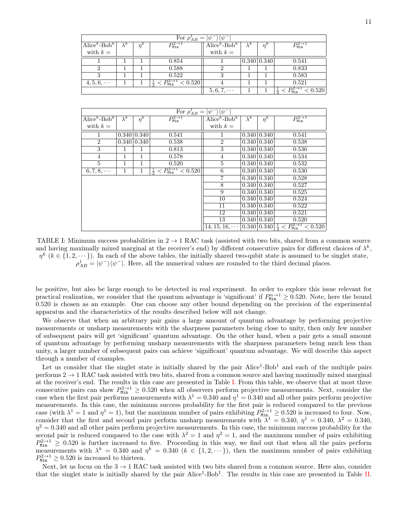<span id="page-10-0"></span>

| For $\rho_{AB}^{\perp} =  \psi^-\rangle\langle\psi^- $ |             |                |                                                 |                               |                                       |             |                                  |  |
|--------------------------------------------------------|-------------|----------------|-------------------------------------------------|-------------------------------|---------------------------------------|-------------|----------------------------------|--|
| Alice <sup>k</sup> -Bob <sup>k</sup>                   | $\lambda^k$ | $n^k$          | $\overline{P_\text{Min}^{2\to1}}$               | $\text{Alice}^k\text{-Bob}^k$ | $\lambda^k$                           | $n^{k}$     | $\overline{P_{\tt Min}^{2\to1}}$ |  |
| with $k =$                                             |             |                |                                                 | with $k =$                    |                                       |             |                                  |  |
|                                                        |             |                | 0.854                                           |                               |                                       | 0.340 0.340 | 0.541                            |  |
| ົ                                                      |             |                | 0.588                                           |                               |                                       |             | 0.833                            |  |
| ົ                                                      |             |                | 0.522                                           |                               |                                       |             | 0.583                            |  |
| $4, 5, 6, \cdots$                                      |             |                | $\overline{< P_{\tt Min}^{2 \to 1}}$<br>< 0.520 |                               |                                       |             | 0.521                            |  |
|                                                        |             | $5,6,7,\cdots$ |                                                 |                               | $P_{\texttt{Min}}^{2\to1}$<br>< 0.520 |             |                                  |  |

| For $\rho_{AB}^1 =  \psi^-\rangle\langle \psi^-$ |                   |          |                                                            |                                               |                |                                                     |                                       |  |
|--------------------------------------------------|-------------------|----------|------------------------------------------------------------|-----------------------------------------------|----------------|-----------------------------------------------------|---------------------------------------|--|
| Alice <sup>k</sup> -Bob <sup>k</sup>             | $\lambda^k$       | $\eta^k$ | $P_{\mathop{\rm Min}}^{2\to1}$                             | $\overline{\text{Alice}^k}$ -Bob <sup>k</sup> | $\lambda^k$    | $\eta^k$                                            | $P_{\mathsf{Min}}^{2\to1}$            |  |
| with $k =$                                       |                   |          |                                                            | with $k =$                                    |                |                                                     |                                       |  |
|                                                  | $0.340\,0.340$    |          | 0.541                                                      | 1                                             | 0.340   0.340  |                                                     | 0.541                                 |  |
| $\overline{2}$                                   | $0.340\, \,0.340$ |          | 0.538                                                      | $\overline{2}$                                |                | 0.340   0.340                                       | 0.538                                 |  |
| 3                                                |                   | 1        | 0.813                                                      | 3                                             |                | $0.340\,0.340$                                      | 0.536                                 |  |
| 4                                                | 1                 | 1        | 0.578                                                      | 4                                             |                | $0.340\,0.340$                                      | 0.534                                 |  |
| $\overline{5}$                                   | 1                 | 1        | 0.520                                                      | $\overline{5}$                                |                | 0.340   0.340                                       | 0.532                                 |  |
| $6, 7, 8, \cdots$                                | $\mathbf{1}$      | 1        | $\frac{1}{2}$ < $P_{\text{Min}}^{2 \rightarrow 1}$ < 0.520 | 6                                             |                | $0.340\,0.340$                                      | 0.530                                 |  |
|                                                  |                   |          |                                                            | 7                                             |                | $0.340\,0.340$                                      | 0.528                                 |  |
|                                                  |                   |          |                                                            | 8                                             | 0.340 0.340    |                                                     | 0.527                                 |  |
|                                                  |                   |          |                                                            | 9                                             | 0.340   0.340  |                                                     | 0.525                                 |  |
|                                                  |                   |          |                                                            | 10                                            |                | 0.340   0.340                                       | 0.524                                 |  |
|                                                  |                   |          |                                                            | 11                                            | $0.340\,0.340$ |                                                     | 0.522                                 |  |
|                                                  |                   |          |                                                            | 12                                            |                | $0.340\,0.340$                                      | 0.521                                 |  |
|                                                  |                   |          |                                                            | 13                                            |                | 0.340   0.340                                       | 0.520                                 |  |
|                                                  |                   |          |                                                            | $14, 15, 16, \cdots$                          |                | $\overline{0.340}$ $\overline{0.340}$ $\frac{1}{2}$ | $P_{\texttt{Min}}^{2\to1}$<br>< 0.520 |  |

TABLE I: Minimum success probabilities in  $2 \rightarrow 1$  RAC task (assisted with two bits, shared from a common source and having maximally mixed marginal at the receiver's end) by different consecutive pairs for different choices of  $\lambda^k$ ,  $\eta^k$  ( $k \in \{1, 2, \dots\}$ ). In each of the above tables, the initially shared two-qubit state is assumed to be singlet state,  $\rho_{AB}^1 = |\psi^-\rangle\langle\psi^-|$ . Here, all the numerical values are rounded to the third decimal places.

be positive, but also be large enough to be detected in real experiment. In order to explore this issue relevant for practical realization, we consider that the quantum advantage is 'significant' if  $P_{\text{Min}}^{n\to 1} \ge 0.520$ . Note, here the bound 0.520 is chosen as an example. One can choose any other bound depending on the precision of the experimental apparatus and the characteristics of the results described below will not change.

We observe that when an arbitrary pair gains a large amount of quantum advantage by performing projective measurements or unsharp measurements with the sharpness parameters being close to unity, then only few number of subsequent pairs will get 'significant' quantum advantage. On the other hand, when a pair gets a small amount of quantum advantage by performing unsharp measurements with the sharpness parameters being much less than unity, a larger number of subsequent pairs can achieve 'significant' quantum advantage. We will describe this aspect through a number of examples.

Let us consider that the singlet state is initially shared by the pair  $\text{Alice}^1\text{-}\text{Bob}^1$  and each of the multiple pairs performs  $2 \rightarrow 1$  RAC task assisted with two bits, shared from a common source and having maximally mixed marginal at the receiver's end. The results in this case are presented in Table [I.](#page-10-0) From this table, we observe that at most three consecutive pairs can show  $P_{\text{Min}}^{2\to1} \geq 0.520$  when all observers perform projective measurements. Next, consider the case when the first pair performs measurements with  $\lambda^1 = 0.340$  and  $\eta^1 = 0.340$  and all other pairs perform projective measurements. In this case, the minimum success probability for the first pair is reduced compared to the previous case (with  $\lambda^1 = 1$  and  $\eta^1 = 1$ ), but the maximum number of pairs exhibiting  $P_{\text{Min}}^{2 \to 1} \ge 0.520$  is increased to four. Now, consider that the first and second pairs perform unsharp measurements with  $\lambda^1 = 0.340$ ,  $\eta^1 = 0.340$ ,  $\lambda^2 = 0.340$ ,  $\eta^2 = 0.340$  and all other pairs perform projective measurements. In this case, the minimum success probability for the second pair is reduced compared to the case with  $\lambda^2 = 1$  and  $\eta^2 = 1$ , and the maximum number of pairs exhibiting  $P_{\text{Min}}^{2\to1} \geq 0.520$  is further increased to five. Proceeding in this way, we find out that when all the pairs perform measurements with  $\lambda^k = 0.340$  and  $\eta^k = 0.340$  ( $k \in \{1, 2, \dots\}$ ), then the maximum number of pairs exhibiting  $P_{\text{Min}}^{2 \to 1} \ge 0.520$  is increased to thirteen.

Next, let us focus on the  $3 \rightarrow 1$  RAC task assisted with two bits shared from a common source. Here also, consider that the singlet state is initially shared by the pair Alice<sup>1</sup>-Bob<sup>1</sup>. The results in this case are presented in Table [II.](#page-11-1)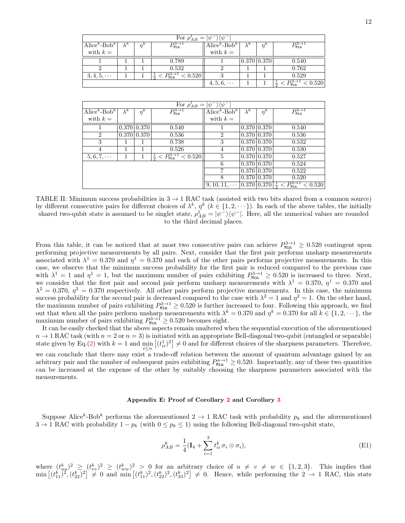<span id="page-11-1"></span>

| For $\rho_{AB}^1 =  \psi^-\rangle\langle\psi^-$ |    |         |                                                 |                                                 |             |               |                                         |  |
|-------------------------------------------------|----|---------|-------------------------------------------------|-------------------------------------------------|-------------|---------------|-----------------------------------------|--|
| $ \text{Alice}^k\text{-Bob}^k $                 | λĸ | $n^{k}$ | $\bar{P}_{\tt Min}^{\overline{3}\to 1}$         | $\overline{\text{Alice}}^k\text{-}\text{Bob}^k$ | $\lambda^k$ | $n^k$         | $\overline{P_{\tt Min}^{3\to1}}$        |  |
| with $k =$                                      |    |         |                                                 | with $k =$                                      |             |               |                                         |  |
|                                                 |    |         | 0.789                                           |                                                 |             | 0.370   0.370 | 0.540                                   |  |
|                                                 |    |         | 0.532                                           |                                                 |             |               | 0.762                                   |  |
| $3, 4, 5, \cdots$                               |    |         | , $\overline{< P_{\tt Min}^{3\to1}}$<br>< 0.520 |                                                 |             |               | 0.529                                   |  |
|                                                 |    |         |                                                 | $4, 5, 6, \cdots$                               |             |               | $\sqrt{P_{\tt Min}^{3\to1}}$<br>< 0.520 |  |

| For $\rho_{AB} =  \psi^{-}\rangle \langle \psi^{-}$ |             |                |                                                                  |                     |             |                |                                                                                            |  |  |
|-----------------------------------------------------|-------------|----------------|------------------------------------------------------------------|---------------------|-------------|----------------|--------------------------------------------------------------------------------------------|--|--|
| Alice <sup>k</sup> -Bob <sup>k</sup>                | $\lambda^k$ | $\eta^k$       | $P_{\text{Min}}^{3\rightarrow1}$                                 | $Alice^k\n-Bob^k$   | $\lambda^k$ | $n^{k}$        | $P_{\tt Min}^{3\to1}$                                                                      |  |  |
| with $k =$                                          |             |                |                                                                  | with $k =$          |             |                |                                                                                            |  |  |
|                                                     |             | $0.370\,0.370$ | 0.540                                                            |                     |             | $0.370\,0.370$ | 0.540                                                                                      |  |  |
| $\overline{2}$                                      |             | 0.370(0.370)   | 0.536                                                            | $\overline{2}$      |             | $0.370\,0.370$ | 0.536                                                                                      |  |  |
| 3                                                   |             |                | 0.738                                                            | 3                   |             | $0.370\,0.370$ | 0.532                                                                                      |  |  |
| $\overline{4}$                                      |             | 1              | 0.526                                                            | 4                   |             | $0.370\,0.370$ | 0.530                                                                                      |  |  |
| $5,6,7,\cdots$                                      |             |                | $\overline{{}< P_{\tt Min}^{3\to1}}$<br>< 0.520<br>$\frac{1}{2}$ | 5                   |             | $0.370\,0.370$ | 0.527                                                                                      |  |  |
|                                                     |             |                |                                                                  | 6                   |             | $0.370\,0.370$ | 0.524                                                                                      |  |  |
|                                                     |             |                |                                                                  |                     |             | $0.370\,0.370$ | 0.522                                                                                      |  |  |
|                                                     |             |                |                                                                  | 8                   |             | $0.370\,0.370$ | 0.520                                                                                      |  |  |
|                                                     |             |                |                                                                  | $9, 10, 11, \cdots$ |             |                | $\left[0.370\right]\left[0.370\right]\frac{1}{2} < P_{\text{Min}}^{3\rightarrow1} < 0.520$ |  |  |

TABLE II: Minimum success probabilities in  $3 \rightarrow 1$  RAC task (assisted with two bits shared from a common source) by different consecutive pairs for different choices of  $\lambda^k$ ,  $\eta^k$  ( $k \in \{1, 2, \dots\}$ ). In each of the above tables, the initially shared two-qubit state is assumed to be singlet state,  $\rho_{AB}^1 = |\psi^{-}\rangle\langle\psi^{-}|$ . Here, all the numerical values are rounded to the third decimal places.

From this table, it can be noticed that at most two consecutive pairs can achieve  $P_{Min}^{3\to1} \ge 0.520$  contingent upon performing projective measurements by all pairs. Next, consider that the first pair performs unsharp measurements associated with  $\lambda^1 = 0.370$  and  $\eta^1 = 0.370$  and each of the other pairs performs projective measurements. In this case, we observe that the minimum success probability for the first pair is reduced compared to the previous case with  $\lambda^1 = 1$  and  $\eta^1 = 1$ , but the maximum number of pairs exhibiting  $P_{\text{Min}}^{3\to 1} \ge 0.520$  is increased to three. Next, we consider that the first pair and second pair perform unsharp measurements with  $\lambda^1 = 0.370$ ,  $\eta^1 = 0.370$  and  $\lambda^2 = 0.370$ ,  $\eta^2 = 0.370$  respectively. All other pairs perform projective measurements. In this case, the minimum success probability for the second pair is decreased compared to the case with  $\lambda^2 = 1$  and  $\eta^2 = 1$ . On the other hand, the maximum number of pairs exhibiting  $P_{\text{Min}}^{3\to1} \ge 0.520$  is further increased to four. Following this approach, we find out that when all the pairs perform unsharp measurements with  $\lambda^k = 0.370$  and  $\eta^k = 0.370$  for all  $k \in \{1, 2, \dots\}$ , the maximum number of pairs exhibiting  $P_{\text{Min}}^{3\to1} \ge 0.520$  becomes eight.

It can be easily checked that the above aspects remain unaltered when the sequential execution of the aforementioned  $n \to 1$  RAC task (with  $n = 2$  or  $n = 3$ ) is initiated with an appropriate Bell-diagonal two-qubit (entangled or separable) state given by Eq.[\(2\)](#page-2-1) with  $k = 1$  and  $\min_{i \leq n} [(t_{ii}^1)^2] \neq 0$  and for different choices of the sharpness parameters. Therefore, we can conclude that there may exist a trade-off relation between the amount of quantum advantage gained by an arbitrary pair and the number of subsequent pairs exhibiting  $P_{\text{Min}}^{n \to 1} \ge 0.520$ . Importantly, any of these two quantities can be increased at the expense of the other by suitably choosing the sharpness parameters associated with the measurements.

## <span id="page-11-0"></span>Appendix E: Proof of Corollary [2](#page-3-1) and Corollary [3](#page-4-3)

Suppose Alice<sup>k</sup>-Bob<sup>k</sup> performs the aforementioned  $2 \to 1$  RAC task with probability  $p_k$  and the aforementioned  $3 \rightarrow 1$  RAC with probability  $1 - p_k$  (with  $0 \leq p_k \leq 1$ ) using the following Bell-diagonal two-qubit state,

$$
\rho_{AB}^k = \frac{1}{4} (\mathbf{I}_4 + \sum_{i=1}^3 t_{ii}^k \sigma_i \otimes \sigma_i),
$$
 (E1)

where  $(t_{uy}^k)^2 \ge (t_{vv}^k)^2 \ge (t_{ww}^k)^2 > 0$  for an arbitrary choice of  $u \ne v \ne w \in \{1,2,3\}$ . This implies that  $\min\left[(t_{11}^k)^2,(t_{22}^k)^2\right] \neq 0$  and  $\min\left[(t_{11}^k)^2,(t_{22}^k)^2,(t_{33}^k)^2\right] \neq 0$ . Hence, while performing the  $2 \rightarrow 1$  RAC, this state